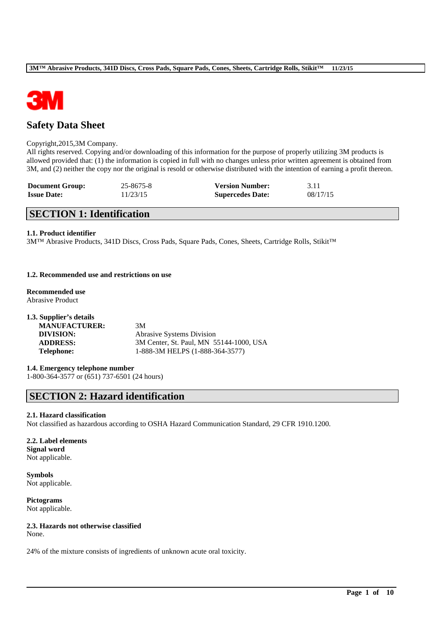

# **Safety Data Sheet**

### Copyright,2015,3M Company.

All rights reserved. Copying and/or downloading of this information for the purpose of properly utilizing 3M products is allowed provided that: (1) the information is copied in full with no changes unless prior written agreement is obtained from 3M, and (2) neither the copy nor the original is resold or otherwise distributed with the intention of earning a profit thereon.

| <b>Document Group:</b> | 25-8675-8 | <b>Version Number:</b>  | 3.11     |
|------------------------|-----------|-------------------------|----------|
| <b>Issue Date:</b>     | 11/23/15  | <b>Supercedes Date:</b> | 08/17/15 |

# **SECTION 1: Identification**

### **1.1. Product identifier**

3M™ Abrasive Products, 341D Discs, Cross Pads, Square Pads, Cones, Sheets, Cartridge Rolls, Stikit™

## **1.2. Recommended use and restrictions on use**

**Recommended use** Abrasive Product

| 1.3. Supplier's details |                                         |
|-------------------------|-----------------------------------------|
| <b>MANUFACTURER:</b>    | 3M                                      |
| DIVISION:               | <b>Abrasive Systems Division</b>        |
| <b>ADDRESS:</b>         | 3M Center, St. Paul, MN 55144-1000, USA |
| <b>Telephone:</b>       | 1-888-3M HELPS (1-888-364-3577)         |

# **1.4. Emergency telephone number**

1-800-364-3577 or (651) 737-6501 (24 hours)

# **SECTION 2: Hazard identification**

#### **2.1. Hazard classification**

Not classified as hazardous according to OSHA Hazard Communication Standard, 29 CFR 1910.1200.

\_\_\_\_\_\_\_\_\_\_\_\_\_\_\_\_\_\_\_\_\_\_\_\_\_\_\_\_\_\_\_\_\_\_\_\_\_\_\_\_\_\_\_\_\_\_\_\_\_\_\_\_\_\_\_\_\_\_\_\_\_\_\_\_\_\_\_\_\_\_\_\_\_\_\_\_\_\_\_\_\_\_\_\_\_\_\_\_\_\_

### **2.2. Label elements Signal word** Not applicable.

**Symbols** Not applicable.

**Pictograms** Not applicable.

# **2.3. Hazards not otherwise classified**

None.

24% of the mixture consists of ingredients of unknown acute oral toxicity.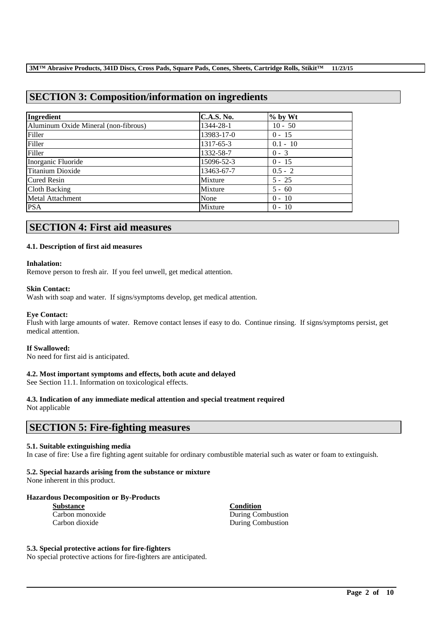# **SECTION 3: Composition/information on ingredients**

| Ingredient                           | <b>C.A.S. No.</b> | $%$ by Wt  |
|--------------------------------------|-------------------|------------|
| Aluminum Oxide Mineral (non-fibrous) | 1344-28-1         | $10 - 50$  |
| Filler                               | 13983-17-0        | $0 - 15$   |
| Filler                               | 1317-65-3         | $0.1 - 10$ |
| Filler                               | 1332-58-7         | $0 - 3$    |
| Inorganic Fluoride                   | 15096-52-3        | $0 - 15$   |
| Titanium Dioxide                     | 13463-67-7        | $0.5 - 2$  |
| <b>Cured Resin</b>                   | Mixture           | $5 - 25$   |
| Cloth Backing                        | Mixture           | $5 - 60$   |
| Metal Attachment                     | None              | $0 - 10$   |
| <b>PSA</b>                           | Mixture           | $0 - 10$   |

# **SECTION 4: First aid measures**

# **4.1. Description of first aid measures**

### **Inhalation:**

Remove person to fresh air. If you feel unwell, get medical attention.

### **Skin Contact:**

Wash with soap and water. If signs/symptoms develop, get medical attention.

## **Eye Contact:**

Flush with large amounts of water. Remove contact lenses if easy to do. Continue rinsing. If signs/symptoms persist, get medical attention.

#### **If Swallowed:**

No need for first aid is anticipated.

# **4.2. Most important symptoms and effects, both acute and delayed**

See Section 11.1. Information on toxicological effects.

# **4.3. Indication of any immediate medical attention and special treatment required**

Not applicable

# **SECTION 5: Fire-fighting measures**

# **5.1. Suitable extinguishing media**

In case of fire: Use a fire fighting agent suitable for ordinary combustible material such as water or foam to extinguish.

\_\_\_\_\_\_\_\_\_\_\_\_\_\_\_\_\_\_\_\_\_\_\_\_\_\_\_\_\_\_\_\_\_\_\_\_\_\_\_\_\_\_\_\_\_\_\_\_\_\_\_\_\_\_\_\_\_\_\_\_\_\_\_\_\_\_\_\_\_\_\_\_\_\_\_\_\_\_\_\_\_\_\_\_\_\_\_\_\_\_

# **5.2. Special hazards arising from the substance or mixture**

None inherent in this product.

# **Hazardous Decomposition or By-Products**

| <b>Substance</b> |  |  |
|------------------|--|--|
| Carbon monoxide  |  |  |
| Carbon dioxide   |  |  |

**Substance Condition** During Combustion During Combustion

### **5.3. Special protective actions for fire-fighters**

No special protective actions for fire-fighters are anticipated.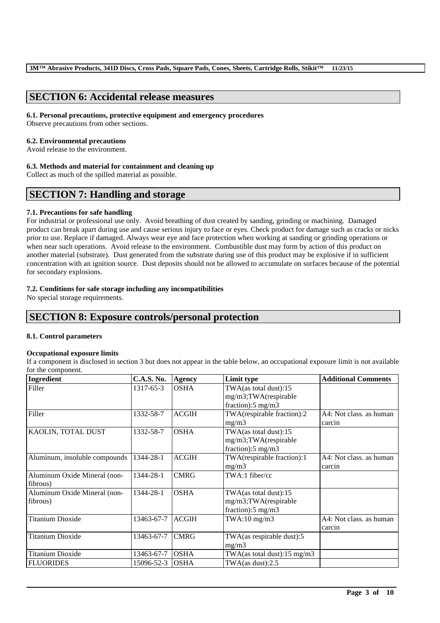# **SECTION 6: Accidental release measures**

#### **6.1. Personal precautions, protective equipment and emergency procedures**

Observe precautions from other sections.

### **6.2. Environmental precautions**

Avoid release to the environment.

### **6.3. Methods and material for containment and cleaning up**

Collect as much of the spilled material as possible.

# **SECTION 7: Handling and storage**

# **7.1. Precautions for safe handling**

For industrial or professional use only. Avoid breathing of dust created by sanding, grinding or machining. Damaged product can break apart during use and cause serious injury to face or eyes. Check product for damage such as cracks or nicks prior to use. Replace if damaged. Always wear eye and face protection when working at sanding or grinding operations or when near such operations. Avoid release to the environment. Combustible dust may form by action of this product on another material (substrate). Dust generated from the substrate during use of this product may be explosive if in sufficient concentration with an ignition source. Dust deposits should not be allowed to accumulate on surfaces because of the potential for secondary explosions.

# **7.2. Conditions for safe storage including any incompatibilities**

No special storage requirements.

# **SECTION 8: Exposure controls/personal protection**

# **8.1. Control parameters**

# **Occupational exposure limits**

If a component is disclosed in section 3 but does not appear in the table below, an occupational exposure limit is not available for the component.

| Ingredient                    | <b>C.A.S. No.</b> | <b>Agency</b> | Limit type                              | <b>Additional Comments</b> |
|-------------------------------|-------------------|---------------|-----------------------------------------|----------------------------|
| Filler                        | 1317-65-3         | <b>OSHA</b>   | TWA(as total dust):15                   |                            |
|                               |                   |               | mg/m3;TWA(respirable                    |                            |
|                               |                   |               | fraction): $5 \text{ mg/m}$ 3           |                            |
| Filler                        | 1332-58-7         | <b>ACGIH</b>  | TWA(respirable fraction):2              | A4: Not class, as human    |
|                               |                   |               | mg/m3                                   | carcin                     |
| KAOLIN, TOTAL DUST            | 1332-58-7         | <b>OSHA</b>   | TWA(as total dust):15                   |                            |
|                               |                   |               | mg/m3;TWA(respirable                    |                            |
|                               |                   |               | fraction): $5 \text{ mg/m}$ 3           |                            |
| Aluminum, insoluble compounds | 1344-28-1         | <b>ACGIH</b>  | TWA(respirable fraction):1              | A4: Not class, as human    |
|                               |                   |               | mg/m3                                   | carcin                     |
| Aluminum Oxide Mineral (non-  | 1344-28-1         | <b>CMRG</b>   | TWA:1 fiber/cc                          |                            |
| fibrous)                      |                   |               |                                         |                            |
| Aluminum Oxide Mineral (non-  | 1344-28-1         | <b>OSHA</b>   | TWA(as total dust):15                   |                            |
| fibrous)                      |                   |               | mg/m3;TWA(respirable                    |                            |
|                               |                   |               | fraction):5 mg/m3                       |                            |
| <b>Titanium Dioxide</b>       | 13463-67-7        | <b>ACGIH</b>  | $TWA:10$ mg/m $3$                       | A4: Not class. as human    |
|                               |                   |               |                                         | carcin                     |
| Titanium Dioxide              | 13463-67-7        | <b>CMRG</b>   | TWA(as respirable dust):5               |                            |
|                               |                   |               | mg/m3                                   |                            |
| <b>Titanium Dioxide</b>       | 13463-67-7        | <b>OSHA</b>   | TWA(as total dust): $15 \text{ mg/m}$ 3 |                            |
| <b>FLUORIDES</b>              | 15096-52-3        | <b>OSHA</b>   | TWA(as dust):2.5                        |                            |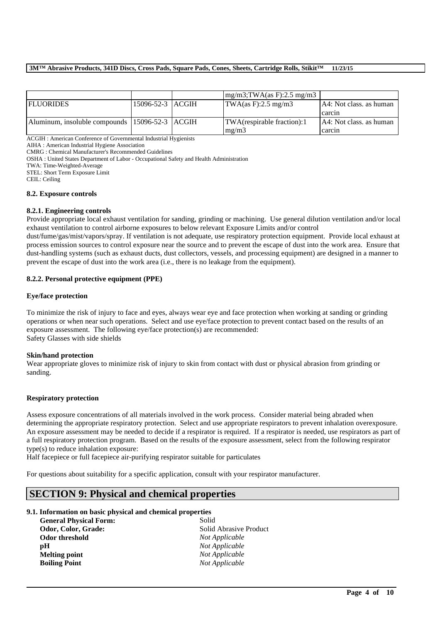## **3M™ Abrasive Products, 341D Discs, Cross Pads, Square Pads, Cones, Sheets, Cartridge Rolls, Stikit™ 11/23/15**

|                                                    |                  | $mg/m3$ ; TWA(as F): 2.5 mg/m3               |                         |
|----------------------------------------------------|------------------|----------------------------------------------|-------------------------|
| <b>FLUORIDES</b>                                   | 15096-52-3 ACGIH | $\text{TWA}(as F): 2.5 \text{ mg}/\text{m}3$ | A4: Not class, as human |
|                                                    |                  |                                              | carcin                  |
| Aluminum, insoluble compounds   15096-52-3   ACGIH |                  | <b>TWA</b> (respirable fraction):1           | A4: Not class, as human |
|                                                    |                  | mg/m3                                        | carcin                  |

ACGIH : American Conference of Governmental Industrial Hygienists

AIHA : American Industrial Hygiene Association

CMRG : Chemical Manufacturer's Recommended Guidelines

OSHA : United States Department of Labor - Occupational Safety and Health Administration

TWA: Time-Weighted-Average

STEL: Short Term Exposure Limit

CEIL: Ceiling

#### **8.2. Exposure controls**

#### **8.2.1. Engineering controls**

Provide appropriate local exhaust ventilation for sanding, grinding or machining. Use general dilution ventilation and/or local exhaust ventilation to control airborne exposures to below relevant Exposure Limits and/or control

dust/fume/gas/mist/vapors/spray. If ventilation is not adequate, use respiratory protection equipment. Provide local exhaust at process emission sources to control exposure near the source and to prevent the escape of dust into the work area. Ensure that dust-handling systems (such as exhaust ducts, dust collectors, vessels, and processing equipment) are designed in a manner to prevent the escape of dust into the work area (i.e., there is no leakage from the equipment).

# **8.2.2. Personal protective equipment (PPE)**

### **Eye/face protection**

To minimize the risk of injury to face and eyes, always wear eye and face protection when working at sanding or grinding operations or when near such operations. Select and use eye/face protection to prevent contact based on the results of an exposure assessment. The following eye/face protection(s) are recommended: Safety Glasses with side shields

#### **Skin/hand protection**

Wear appropriate gloves to minimize risk of injury to skin from contact with dust or physical abrasion from grinding or sanding.

# **Respiratory protection**

Assess exposure concentrations of all materials involved in the work process. Consider material being abraded when determining the appropriate respiratory protection. Select and use appropriate respirators to prevent inhalation overexposure. An exposure assessment may be needed to decide if a respirator is required. If a respirator is needed, use respirators as part of a full respiratory protection program. Based on the results of the exposure assessment, select from the following respirator type(s) to reduce inhalation exposure:

\_\_\_\_\_\_\_\_\_\_\_\_\_\_\_\_\_\_\_\_\_\_\_\_\_\_\_\_\_\_\_\_\_\_\_\_\_\_\_\_\_\_\_\_\_\_\_\_\_\_\_\_\_\_\_\_\_\_\_\_\_\_\_\_\_\_\_\_\_\_\_\_\_\_\_\_\_\_\_\_\_\_\_\_\_\_\_\_\_\_

Half facepiece or full facepiece air-purifying respirator suitable for particulates

For questions about suitability for a specific application, consult with your respirator manufacturer.

# **SECTION 9: Physical and chemical properties**

## **9.1. Information on basic physical and chemical properties**

| <b>General Physical Form:</b> | Solid                  |
|-------------------------------|------------------------|
| Odor, Color, Grade:           | Solid Abrasive Product |
| Odor threshold                | Not Applicable         |
| рH                            | Not Applicable         |
| <b>Melting point</b>          | Not Applicable         |
| <b>Boiling Point</b>          | Not Applicable         |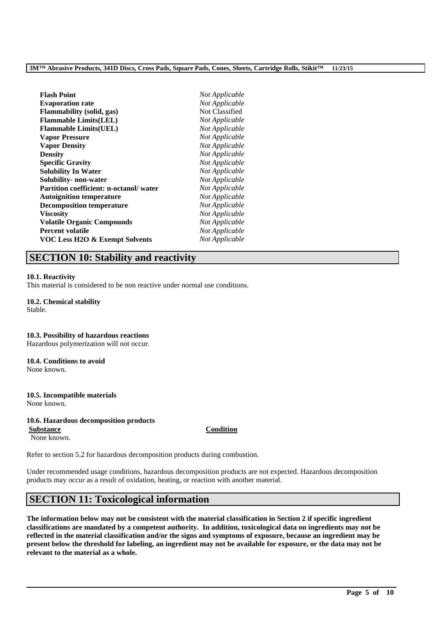| <b>Flash Point</b>                        | Not Applicable |
|-------------------------------------------|----------------|
| <b>Evaporation rate</b>                   | Not Applicable |
| <b>Flammability (solid, gas)</b>          | Not Classified |
| <b>Flammable Limits(LEL)</b>              | Not Applicable |
| <b>Flammable Limits(UEL)</b>              | Not Applicable |
| <b>Vapor Pressure</b>                     | Not Applicable |
| <b>Vapor Density</b>                      | Not Applicable |
| <b>Density</b>                            | Not Applicable |
| <b>Specific Gravity</b>                   | Not Applicable |
| <b>Solubility In Water</b>                | Not Applicable |
| Solubility- non-water                     | Not Applicable |
| Partition coefficient: n-octanol/water    | Not Applicable |
| <b>Autoignition temperature</b>           | Not Applicable |
| <b>Decomposition temperature</b>          | Not Applicable |
| <b>Viscosity</b>                          | Not Applicable |
| <b>Volatile Organic Compounds</b>         | Not Applicable |
| <b>Percent volatile</b>                   | Not Applicable |
| <b>VOC Less H2O &amp; Exempt Solvents</b> | Not Applicable |

# **SECTION 10: Stability and reactivity**

#### **10.1. Reactivity**

This material is considered to be non reactive under normal use conditions.

#### **10.2. Chemical stability** Stable.

# **10.3. Possibility of hazardous reactions**

Hazardous polymerization will not occur.

# **10.4. Conditions to avoid**

None known.

# **10.5. Incompatible materials**

None known.

# **10.6. Hazardous decomposition products**

**Substance Condition** None known.

Refer to section 5.2 for hazardous decomposition products during combustion.

Under recommended usage conditions, hazardous decomposition products are not expected. Hazardous decomposition products may occur as a result of oxidation, heating, or reaction with another material.

# **SECTION 11: Toxicological information**

**The information below may not be consistent with the material classification in Section 2 if specific ingredient classifications are mandated by a competent authority. In addition, toxicological data on ingredients may not be reflected in the material classification and/or the signs and symptoms of exposure, because an ingredient may be present below the threshold for labeling, an ingredient may not be available for exposure, or the data may not be relevant to the material as a whole.**

\_\_\_\_\_\_\_\_\_\_\_\_\_\_\_\_\_\_\_\_\_\_\_\_\_\_\_\_\_\_\_\_\_\_\_\_\_\_\_\_\_\_\_\_\_\_\_\_\_\_\_\_\_\_\_\_\_\_\_\_\_\_\_\_\_\_\_\_\_\_\_\_\_\_\_\_\_\_\_\_\_\_\_\_\_\_\_\_\_\_

**Page 5 of 10**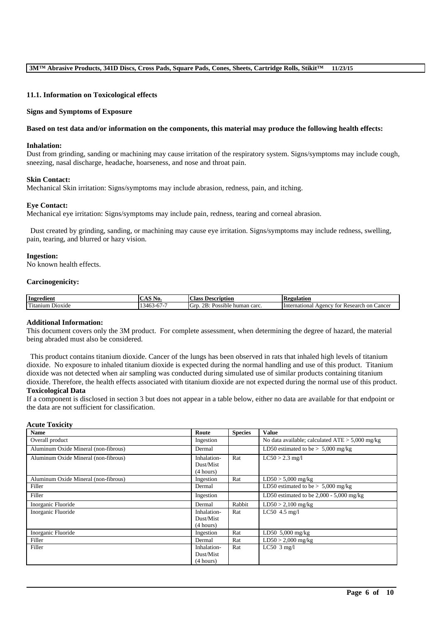### **11.1. Information on Toxicological effects**

#### **Signs and Symptoms of Exposure**

#### **Based on test data and/or information on the components, this material may produce the following health effects:**

#### **Inhalation:**

Dust from grinding, sanding or machining may cause irritation of the respiratory system. Signs/symptoms may include cough, sneezing, nasal discharge, headache, hoarseness, and nose and throat pain.

#### **Skin Contact:**

Mechanical Skin irritation: Signs/symptoms may include abrasion, redness, pain, and itching.

#### **Eye Contact:**

Mechanical eye irritation: Signs/symptoms may include pain, redness, tearing and corneal abrasion.

Dust created by grinding, sanding, or machining may cause eye irritation. Signs/symptoms may include redness, swelling, pain, tearing, and blurred or hazy vision.

#### **Ingestion:**

No known health effects.

#### **Carcinogenicity:**

| Ingredient                                              | $\mathbf{A} \times \mathbf{C}$<br>NO.<br>$\sim$                                        | $\sim$<br><b>Description</b><br>. :lass<br>$\sim$   | kegulation                                                                       |
|---------------------------------------------------------|----------------------------------------------------------------------------------------|-----------------------------------------------------|----------------------------------------------------------------------------------|
| cran f<br>D <sub>10</sub> x <sub>1</sub> de<br>`itanıum | $\overline{\phantom{a}}$<br>- -<br>$\overline{\phantom{a}}$<br>.46<br>л.<br>v<br>T 1 . | <sup>I</sup> G1<br>OD.<br>Possible<br>carc<br>human | International<br>∠ancer<br>tor<br>Research<br>A <sub>gencv</sub><br>on (<br>'NU. |

# **Additional Information:**

This document covers only the 3M product. For complete assessment, when determining the degree of hazard, the material being abraded must also be considered.

This product contains titanium dioxide. Cancer of the lungs has been observed in rats that inhaled high levels of titanium dioxide. No exposure to inhaled titanium dioxide is expected during the normal handling and use of this product. Titanium dioxide was not detected when air sampling was conducted during simulated use of similar products containing titanium dioxide. Therefore, the health effects associated with titanium dioxide are not expected during the normal use of this product. **Toxicological Data**

If a component is disclosed in section 3 but does not appear in a table below, either no data are available for that endpoint or the data are not sufficient for classification.

## **Acute Toxicity**

| <b>Name</b>                          | Route                    | <b>Species</b> | <b>Value</b>                                      |
|--------------------------------------|--------------------------|----------------|---------------------------------------------------|
| Overall product                      | Ingestion                |                | No data available; calculated $ATE > 5,000$ mg/kg |
| Aluminum Oxide Mineral (non-fibrous) | Dermal                   |                | LD50 estimated to be $> 5,000$ mg/kg              |
| Aluminum Oxide Mineral (non-fibrous) | Inhalation-<br>Dust/Mist | Rat            | $LC50 > 2.3$ mg/l                                 |
|                                      | (4 hours)                |                |                                                   |
| Aluminum Oxide Mineral (non-fibrous) | Ingestion                | Rat            | $LD50 > 5,000$ mg/kg                              |
| Filler                               | Dermal                   |                | LD50 estimated to be $> 5,000$ mg/kg              |
| Filler                               | Ingestion                |                | LD50 estimated to be $2,000 - 5,000$ mg/kg        |
| Inorganic Fluoride                   | Dermal                   | Rabbit         | $LD50 > 2,100$ mg/kg                              |
| Inorganic Fluoride                   | Inhalation-              | Rat            | $LC50$ 4.5 mg/l                                   |
|                                      | Dust/Mist                |                |                                                   |
|                                      | (4 hours)                |                |                                                   |
| Inorganic Fluoride                   | Ingestion                | Rat            | LD50 $5,000$ mg/kg                                |
| Filler                               | Dermal                   | Rat            | $LD50 > 2,000$ mg/kg                              |
| Filler                               | Inhalation-              | Rat            | LC50 $3$ mg/l                                     |
|                                      | Dust/Mist                |                |                                                   |
|                                      | (4 hours)                |                |                                                   |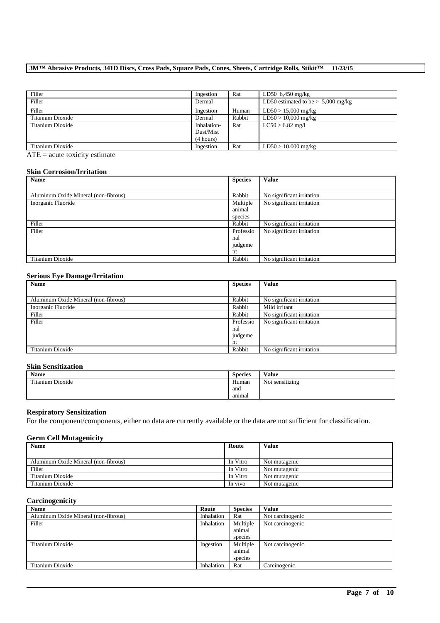# **3M™ Abrasive Products, 341D Discs, Cross Pads, Square Pads, Cones, Sheets, Cartridge Rolls, Stikit™ 11/23/15**

| Filler           | Ingestion   | Rat    | LD50 $6,450$ mg/kg                   |
|------------------|-------------|--------|--------------------------------------|
| Filler           | Dermal      |        | LD50 estimated to be $> 5,000$ mg/kg |
| Filler           | Ingestion   | Human  | $LD50 > 15,000$ mg/kg                |
| Titanium Dioxide | Dermal      | Rabbit | $LD50 > 10,000$ mg/kg                |
| Titanium Dioxide | Inhalation- | Rat    | $LC50 > 6.82$ mg/l                   |
|                  | Dust/Mist   |        |                                      |
|                  | (4 hours)   |        |                                      |
| Titanium Dioxide | Ingestion   | Rat    | $LD50 > 10,000$ mg/kg                |

 $ATE = acute toxicity estimate$ 

# **Skin Corrosion/Irritation**

| Name                                 | <b>Species</b> | <b>Value</b>              |
|--------------------------------------|----------------|---------------------------|
|                                      |                |                           |
| Aluminum Oxide Mineral (non-fibrous) | Rabbit         | No significant irritation |
| Inorganic Fluoride                   | Multiple       | No significant irritation |
|                                      | animal         |                           |
|                                      | species        |                           |
| Filler                               | Rabbit         | No significant irritation |
| Filler                               | Professio      | No significant irritation |
|                                      | nal            |                           |
|                                      | judgeme        |                           |
|                                      | nt             |                           |
| Titanium Dioxide                     | Rabbit         | No significant irritation |

## **Serious Eye Damage/Irritation**

| Name                                 | <b>Species</b> | <b>Value</b>              |
|--------------------------------------|----------------|---------------------------|
|                                      |                |                           |
| Aluminum Oxide Mineral (non-fibrous) | Rabbit         | No significant irritation |
| Inorganic Fluoride                   | Rabbit         | Mild irritant             |
| Filler                               | Rabbit         | No significant irritation |
| Filler                               | Professio      | No significant irritation |
|                                      | nal            |                           |
|                                      | judgeme        |                           |
|                                      | nt             |                           |
| Titanium Dioxide                     | Rabbit         | No significant irritation |

# **Skin Sensitization**

| Name             | <b>Species</b> | Value           |
|------------------|----------------|-----------------|
| Titanium Dioxide | Human          | Not sensitizing |
|                  | and            |                 |
|                  | animal         |                 |

#### **Respiratory Sensitization**

For the component/components, either no data are currently available or the data are not sufficient for classification.

# **Germ Cell Mutagenicity**

| <b>Name</b>                          | Route    | <b>Value</b>  |
|--------------------------------------|----------|---------------|
|                                      |          |               |
| Aluminum Oxide Mineral (non-fibrous) | In Vitro | Not mutagenic |
| Filler                               | In Vitro | Not mutagenic |
| Titanium Dioxide                     | In Vitro | Not mutagenic |
| Titanium Dioxide                     | In vivo  | Not mutagenic |

# **Carcinogenicity**

| <b>Name</b>                          | Route      | <b>Species</b> | <b>Value</b>     |
|--------------------------------------|------------|----------------|------------------|
| Aluminum Oxide Mineral (non-fibrous) | Inhalation | Rat            | Not carcinogenic |
| Filler                               | Inhalation | Multiple       | Not carcinogenic |
|                                      |            | animal         |                  |
|                                      |            | species        |                  |
| Titanium Dioxide                     | Ingestion  | Multiple       | Not carcinogenic |
|                                      |            | animal         |                  |
|                                      |            | species        |                  |
| Titanium Dioxide                     | Inhalation | Rat            | Carcinogenic     |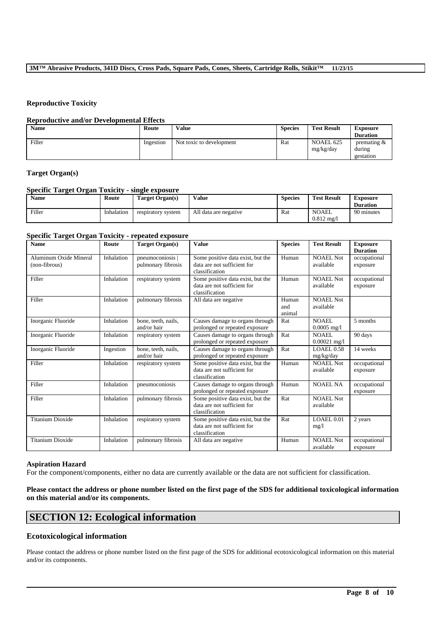# **Reproductive Toxicity**

#### **Reproductive and/or Developmental Effects**

| <b>Name</b> | Route     | Value                    | <b>Species</b> | <b>Test Result</b>     | <b>Exposure</b><br><b>Duration</b>    |
|-------------|-----------|--------------------------|----------------|------------------------|---------------------------------------|
| Filler      | Ingestion | Not toxic to development | Rat            | NOAEL 625<br>mg/kg/day | premating $\&$<br>during<br>gestation |

# **Target Organ(s)**

# **Specific Target Organ Toxicity - single exposure**

| <b>Name</b> | Route      | Target Organ(s)    | Value                 | <b>Species</b> | <b>Test Result</b>                   | <b>Exposure</b><br><b>Duration</b> |
|-------------|------------|--------------------|-----------------------|----------------|--------------------------------------|------------------------------------|
| Filler      | Inhalation | respiratory system | All data are negative | Rat            | <b>NOAEL</b><br>$0.812 \text{ mg}/1$ | 90 minutes                         |

# **Specific Target Organ Toxicity - repeated exposure**

| <b>Name</b>                             | Route      | <b>Target Organ(s)</b>               | <b>Value</b>                                                                       | <b>Species</b>         | <b>Test Result</b>             | <b>Exposure</b><br><b>Duration</b> |
|-----------------------------------------|------------|--------------------------------------|------------------------------------------------------------------------------------|------------------------|--------------------------------|------------------------------------|
| Aluminum Oxide Mineral<br>(non-fibrous) | Inhalation | pneumoconiosis<br>pulmonary fibrosis | Some positive data exist, but the<br>data are not sufficient for<br>classification | Human                  | <b>NOAEL Not</b><br>available  | occupational<br>exposure           |
| Filler                                  | Inhalation | respiratory system                   | Some positive data exist, but the<br>data are not sufficient for<br>classification | Human                  | <b>NOAEL Not</b><br>available  | occupational<br>exposure           |
| Filler                                  | Inhalation | pulmonary fibrosis                   | All data are negative                                                              | Human<br>and<br>animal | <b>NOAEL Not</b><br>available  |                                    |
| Inorganic Fluoride                      | Inhalation | bone, teeth, nails,<br>and/or hair   | Causes damage to organs through<br>prolonged or repeated exposure                  | Rat                    | NOAEL.<br>$0.0005$ mg/l        | 5 months                           |
| Inorganic Fluoride                      | Inhalation | respiratory system                   | Causes damage to organs through<br>prolonged or repeated exposure                  | Rat                    | NOAEL.<br>$0.00021$ mg/l       | 90 days                            |
| Inorganic Fluoride                      | Ingestion  | bone, teeth, nails,<br>and/or hair   | Causes damage to organs through<br>prolonged or repeated exposure                  | Rat                    | <b>LOAEL 0.58</b><br>mg/kg/day | 14 weeks                           |
| Filler                                  | Inhalation | respiratory system                   | Some positive data exist, but the<br>data are not sufficient for<br>classification | Human                  | <b>NOAEL Not</b><br>available  | occupational<br>exposure           |
| Filler                                  | Inhalation | pneumoconiosis                       | Causes damage to organs through<br>prolonged or repeated exposure                  | Human                  | <b>NOAEL NA</b>                | occupational<br>exposure           |
| Filler                                  | Inhalation | pulmonary fibrosis                   | Some positive data exist, but the<br>data are not sufficient for<br>classification | Rat                    | <b>NOAEL Not</b><br>available  |                                    |
| <b>Titanium Dioxide</b>                 | Inhalation | respiratory system                   | Some positive data exist, but the<br>data are not sufficient for<br>classification | Rat                    | LOAEL 0.01<br>mg/l             | 2 years                            |
| <b>Titanium Dioxide</b>                 | Inhalation | pulmonary fibrosis                   | All data are negative                                                              | Human                  | <b>NOAEL Not</b><br>available  | occupational<br>exposure           |

#### **Aspiration Hazard**

For the component/components, either no data are currently available or the data are not sufficient for classification.

# **Please contact the address or phone number listed on the first page of the SDS for additional toxicological information on this material and/or its components.**

# **SECTION 12: Ecological information**

# **Ecotoxicological information**

Please contact the address or phone number listed on the first page of the SDS for additional ecotoxicological information on this material and/or its components.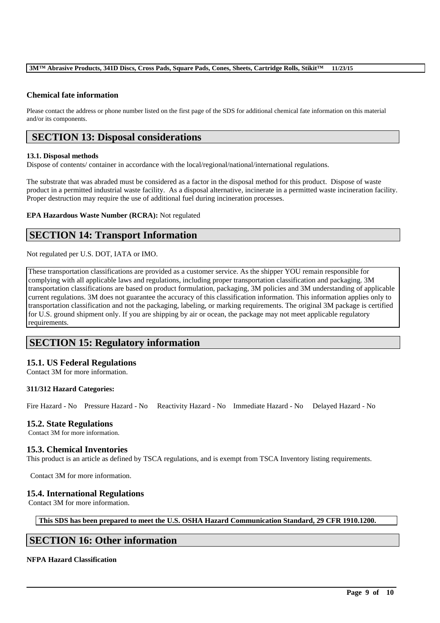## **3M™ Abrasive Products, 341D Discs, Cross Pads, Square Pads, Cones, Sheets, Cartridge Rolls, Stikit™ 11/23/15**

# **Chemical fate information**

Please contact the address or phone number listed on the first page of the SDS for additional chemical fate information on this material and/or its components.

# **SECTION 13: Disposal considerations**

## **13.1. Disposal methods**

Dispose of contents/ container in accordance with the local/regional/national/international regulations.

The substrate that was abraded must be considered as a factor in the disposal method for this product. Dispose of waste product in a permitted industrial waste facility. As a disposal alternative, incinerate in a permitted waste incineration facility. Proper destruction may require the use of additional fuel during incineration processes.

**EPA Hazardous Waste Number (RCRA):** Not regulated

# **SECTION 14: Transport Information**

Not regulated per U.S. DOT, IATA or IMO.

These transportation classifications are provided as a customer service. As the shipper YOU remain responsible for complying with all applicable laws and regulations, including proper transportation classification and packaging. 3M transportation classifications are based on product formulation, packaging, 3M policies and 3M understanding of applicable current regulations. 3M does not guarantee the accuracy of this classification information. This information applies only to transportation classification and not the packaging, labeling, or marking requirements. The original 3M package is certified for U.S. ground shipment only. If you are shipping by air or ocean, the package may not meet applicable regulatory requirements.

# **SECTION 15: Regulatory information**

# **15.1. US Federal Regulations**

Contact 3M for more information.

# **311/312 Hazard Categories:**

Fire Hazard - No Pressure Hazard - No Reactivity Hazard - No Immediate Hazard - No Delayed Hazard - No

# **15.2. State Regulations**

Contact 3M for more information.

# **15.3. Chemical Inventories**

This product is an article as defined by TSCA regulations, and is exempt from TSCA Inventory listing requirements.

Contact 3M for more information.

# **15.4. International Regulations**

Contact 3M for more information.

**This SDS has been prepared to meet the U.S. OSHA Hazard Communication Standard, 29 CFR 1910.1200.**

\_\_\_\_\_\_\_\_\_\_\_\_\_\_\_\_\_\_\_\_\_\_\_\_\_\_\_\_\_\_\_\_\_\_\_\_\_\_\_\_\_\_\_\_\_\_\_\_\_\_\_\_\_\_\_\_\_\_\_\_\_\_\_\_\_\_\_\_\_\_\_\_\_\_\_\_\_\_\_\_\_\_\_\_\_\_\_\_\_\_

# **SECTION 16: Other information**

# **NFPA Hazard Classification**